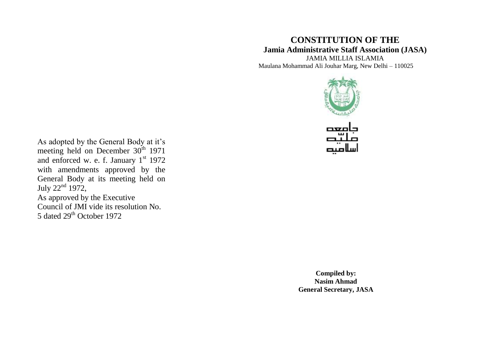# **CONSTITUTION OF THE Jamia Administrative Staff Association (JASA)**

JAMIA MILLIA ISLAMIA Maulana Mohammad Ali Jouhar Marg, New Delhi – 110025



As adopted by the General Body at it's meeting held on December 30<sup>th</sup> 1971 and enforced w. e. f. January  $1<sup>st</sup>$  1972 with amendments approved by the General Body at its meeting held on July  $22<sup>nd</sup> 1972$ , As approved by the Executive Council of JMI vide its resolution No. 5 dated 29<sup>th</sup> October 1972

> **Compiled by: Nasim Ahmad General Secretary, JASA**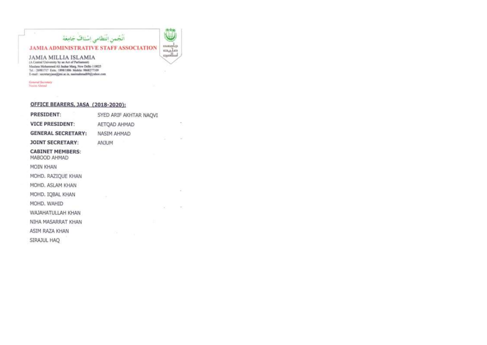#### styling. - 67 O أنجمن انتظامى إشناف جامعة **JAMIA ADMINISTRATIVE STAFF ASSOCIATION** music  $\overrightarrow{c}$

City.

12.

 $\sim$ 

 $\sim$ 

 $\sim 10^{-10}$  and  $\sim 10^{-10}$ 

 $\begin{array}{l} \text{JAMIA~MILLIA~ISLAMIA}\\ \text{(A Cernral University by an Act of Partitionment)}\\ \text{Mautars Mohanned A6 Inular May, New Delhi-110025} \end{array}$ Tel.: 20981717 Extn.: 1898/1886 Mobile: 9868277109 E-mail: secretaryjasa@mi.ac.in, naaimahmad#%@yahoo.com

General Secretary<br>Nusim Almad

| <b>PRESIDENT:</b>                       | SYED ARIF AKHTAR NAOVI |  |  |
|-----------------------------------------|------------------------|--|--|
| <b>VICE PRESIDENT:</b>                  | AETOAD AHMAD           |  |  |
| <b>GENERAL SECRETARY:</b>               | NASIM AHMAD            |  |  |
| <b>JOINT SECRETARY:</b>                 | <b>ANJUM</b>           |  |  |
| <b>CABINET MEMBERS:</b><br>MABOOD AHMAD |                        |  |  |
| MOIN KHAN                               |                        |  |  |
| MOHD. RAZIQUE KHAN                      |                        |  |  |
| MOHD, ASLAM KHAN                        |                        |  |  |
| MOHD. IOBAL KHAN                        |                        |  |  |
| MOHD, WAHID                             |                        |  |  |
| WAJAHATULLAH KHAN                       |                        |  |  |
| NIHA MASARRAT KHAN                      |                        |  |  |
| ASIM RAZA KHAN                          |                        |  |  |
| SIRAJUL HAO                             |                        |  |  |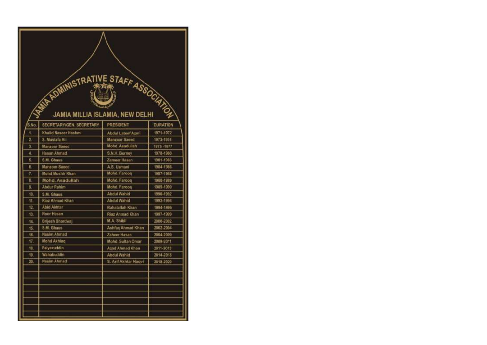| WARDWINISTRATIVE STAFF ASSOCIATION |                         |                      |                 |  |
|------------------------------------|-------------------------|----------------------|-----------------|--|
| 5.No.                              | SECRETARY/GEN SECRETARY | PRESIDENT            | <b>DURATION</b> |  |
| 1.                                 | Khalid Naseer Hashmi    | Abdul Lateef Azmi    | 1971-1972       |  |
| 2                                  | S. Mustafa Ali          | Manzoor Saeed        | 1973-1974       |  |
| 3.                                 | Manzoor Saeed           | Mohd. Asadullah      | 1975-1977       |  |
| 4.                                 | <b>Hasan Ahmad</b>      | S.N.H. Burney        | 1978-1980       |  |
| 5                                  | S M Ghaus               | Zameer Hasan         | 1981-1983       |  |
| 6.                                 | <b>Manzoor Saeed</b>    | A.S. Usmani          | 1984-1986       |  |
| 7.                                 | <b>Mohd Mushir Khan</b> | Mohd, Faroog         | 1987-1988       |  |
| B.                                 | Mohd. Asadullah         | Mohd. Faroog         | 1988-1989       |  |
| ġ.                                 | <b>Abdur Rahim</b>      | Mohd, Faroog         | 1989-1990       |  |
| 10                                 | S.M. Ghaus              | <b>Abdul Wahld</b>   | 1990-1992       |  |
| 11.                                | Riaz Ahmad Khan         | <b>Abdul Wahid</b>   | 1992-1994       |  |
| 12.                                | <b>Abid Akhtar</b>      | Rahatullah Khan      | 1994-1996       |  |
| 13.                                | Noor Hasan              | Riaz Ahmad Khan      | 1997-1999       |  |
| 14                                 | <b>Brijesh Bhardwaj</b> | M.A. Shibli          | 2000-2002       |  |
| 15.                                | S.M. Ghaus              | Ashfaq Ahmad Khan    | 2002-2004       |  |
| 16.                                | Nasim Ahmad             | Zaheer Hasan         | 2004-2009       |  |
| 17.                                | Mond Akhlag             | Mohd. Sultan Omar    | 2009-2011       |  |
| 18                                 | Falyazuddin             | Azad Ahmad Khan      | 2011-2013       |  |
| 19.                                | Wahabuddin              | <b>Abdul Wahio</b>   | 2014-2018       |  |
| 20                                 | <b>Nasim Ahmad</b>      | S. Arif Akhtar Nagvi | 2018-2020       |  |
|                                    |                         |                      |                 |  |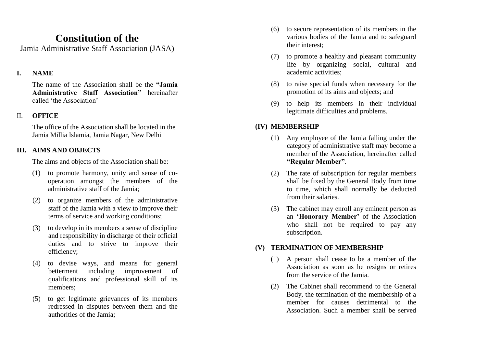# **Constitution of the**

Jamia Administrative Staff Association (JASA)

## **I. NAME**

The name of the Association shall be the **"Jamia Administrative Staff Association"** hereinafter called 'the Association'

#### II. **OFFICE**

The office of the Association shall be located in the Jamia Millia Islamia, Jamia Nagar, New Delhi

### **III. AIMS AND OBJECTS**

The aims and objects of the Association shall be:

- (1) to promote harmony, unity and sense of co operation amongst the members of the administrative staff of the Jamia;
- (2) to organize members of the administrative staff of the Jamia with a view to improve their terms of service and working conditions;
- (3) to develop in its members a sense of discipline and responsibility in discharge of their official duties and to strive to improve their efficiency;
- (4) to devise ways, and means for general betterment including improvement of qualifications and professional skill of its members;
- (5) to get legitimate grievances of its members redressed in disputes between them and the authorities of the Jamia;
- (6) to secure representation of its members in the various bodies of the Jamia and to safeguard their interest;
- (7) to promote a healthy and pleasant community life by organizing social, cultural and academic activities;
- (8) to raise special funds when necessary for the promotion of its aims and objects; and
- (9) to help its members in their individual legitimate difficulties and problems.

# **(IV) MEMBERSHIP**

- (1) Any employee of the Jamia falling under the category of administrative staff may become a member of the Association, hereinafter called **"Regular Member"** .
- (2) The rate of subscription for regular members shall be fixed by the General Body from time to time, which shall normally be deducted from their salaries.
- (3) The cabinet may enroll any eminent person as an **'Honorary Member'** of the Association who shall not be required to pay any subscription.

# **(V) TERMINATION OF MEMBERSHIP**

- (1) A person shall cease to be a member of the Association as soon as he resigns or retires from the service of the Jamia.
- (2) The Cabinet shall recommend to the General Body, the termination of the membership of a member for causes detrimental to the Association. Such a member shall be served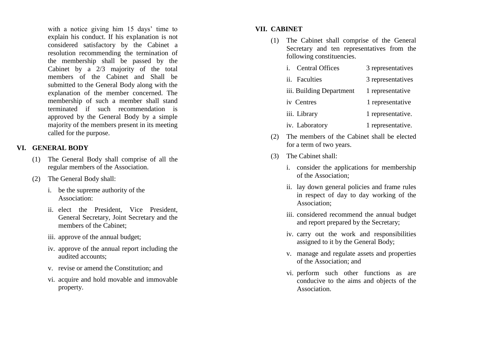with a notice giving him 15 days' time to explain his conduct. If his explanation is not considered satisfactory by the Cabinet a resolution recommending the termination of the membership shall be passed by the Cabinet by a 2/3 majority of the total members of the Cabinet and Shall be submitted to the General Body along with the explanation of the member concerned. The membership of such a member shall stand terminated if such recommendation is approved by the General Body by a simple majority of the members present in its meeting called for the purpose.

# **VI. GENERAL BODY**

- (1) The General Body shall comprise of all the regular members of the Association.
- (2) The General Body shall:
	- i. be the supreme authority of the Association:
	- ii. elect the President, Vice President, General Secretary, Joint Secretary and the members of the Cabinet;
	- iii. approve of the annual budget;
	- iv. approve of the annual report including the audited accounts;
	- v. revise or amend the Constitution; and
	- vi. acquire and hold movable and immovable property.

# **VII. CABINET**

- (1) The Cabinet shall comprise of the General Secretary and ten representatives from the following constituencies.
	- i. Central Offices 3 representatives
	- ii. Faculties 3 representatives
	- iii. Building Department 1 representative
	- iv Centres 1 representative
	- iii. Library 1 representative.
	- iv. Laboratory 1 representative.
- (2) The members of the Cabinet shall be elected for a term of two years.
- (3) The Cabinet shall:
	- i. consider the applications for membership of the Association;
	- ii. lay down general policies and frame rules in respect of day to day working of the Association;
	- iii. considered recommend the annual budget and report prepared by the Secretary;
	- iv. carry out the work and responsibilities assigned to it by the General Body;
	- v. manage and regulate assets and properties of the Association; and
	- vi. perform such other functions as are conducive to the aims and objects of the Association.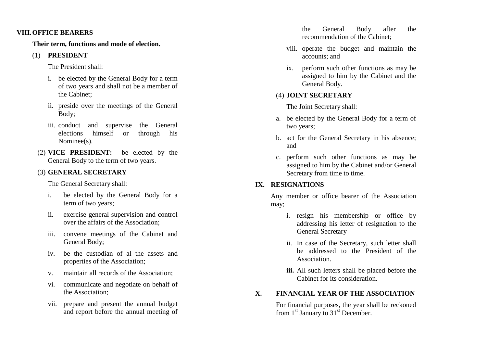#### **VIII.OFFICE BEARERS**

**Their term, functions and mode of election.**

## (1) **PRESIDENT**

The President shall:

- i. be elected by the General Body for a term of two years and shall not be a member of the Cabinet;
- ii. preside over the meetings of the General Body;
- iii. conduct and supervise the General elections himself or through his Nominee(s).
- (2) **VICE PRESIDENT:** be elected by the General Body to the term of two years.

# (3) **GENERAL SECRETARY**

The General Secretary shall:

- i. be elected by the General Body for a term of two years;
- ii. exercise general supervision and control over the affairs of the Association;
- iii. convene meetings of the Cabinet and General Body;
- iv. be the custodian of al the assets and properties of the Association;
- v. maintain all records of the Association;
- vi. communicate and negotiate on behalf of the Association;
- vii. prepare and present the annual budget and report before the annual meeting of

the General Body after the recommendation of the Cabinet;

- viii. operate the budget and maintain the accounts; and
- ix. perform such other functions as may be assigned to him by the Cabinet and the General Body.

# (4) **JOINT SECRETARY**

The Joint Secretary shall:

- a. be elected by the General Body for a term of two years;
- b. act fo r the General Secretary in his absence; and
- c. perform such other functions as may be assigned to him by the Cabinet and/or General Secretary from time to time.

# **IX. RESIGNATIONS**

Any member or office bearer of the Association may;

- i. resign his membership or office by addressing his letter of resignation to the General Secretary
- ii. In case of the Secretary, such letter shall be addressed to the President of the Association.
- **iii.** All such letters shall be placed before the Cabinet for its consideration.

# **X. FINANCIAL YEAR OF THE ASSOCIATION**

For financial purposes, the year shall be reckoned from  $1<sup>st</sup>$  January to  $31<sup>st</sup>$  December.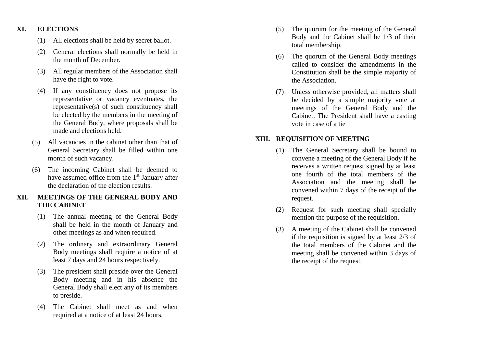#### **XI. ELECTIONS**

- (1) All elections shall be held by secret ballot.
- (2) General elections shall normally be held in the month of December.
- (3) All regular members of the Association shall have the right to vote.
- (4) If any constituency does not propose its representative or vacancy eventuates, the representative(s) of such constituency shall be elected by the members in the meeting of the General Body, where proposals shall be made and elections held.
- (5) All vacancies in the cabinet other than that of General Secretary shall be filled within one month of such vacancy.
- (6) The incoming Cabinet shall be deemed to have assumed office from the  $1<sup>st</sup>$  January after the declaration of the election results.

## **XII. MEETINGS OF THE GENERAL BODY AND THE CABINET**

- (1) The annual meeting of the General Body shall be held in the month of January and other meetings as and when required.
- (2) The ordinary and extraordinary General Body meetings shall require a notice of at least 7 days and 24 hours respectively.
- (3) The president shall preside over the General Body meeting and in his absence the General Body shall elect any of its members to preside.
- (4) The Cabinet shall meet as and when required at a notice of at least 24 hours.
- (5) The quorum for the meeting of the General Body and the Cabinet shall be 1/3 of their total membership.
- (6) The quorum of the General Body meetings called to consider the amendments in the Constitution shall be the simple majority of the Association.
- (7) Unless otherwise provided, all matters shall be decided by a simple majority vote at meetings of the General Body and the Cabinet. The President shall have a casting vote in case of a tie

## **XIII. REQUISITION OF MEETING**

- (1) The General Secretary shall be bound to convene a meeting of the General Body if he receives a written request signed by at least one fourth of the total members of the Association and the meeting shall be convened within 7 days of the receipt of the request.
- (2) Request for such meeting shall specially mention the purpose of the requisition.
- (3) A meeting of the Cabinet shall be convened if the requisition is signed by at least 2/3 of the total members of the Cabinet and the meeting shall be convened within 3 days of the receipt of the request.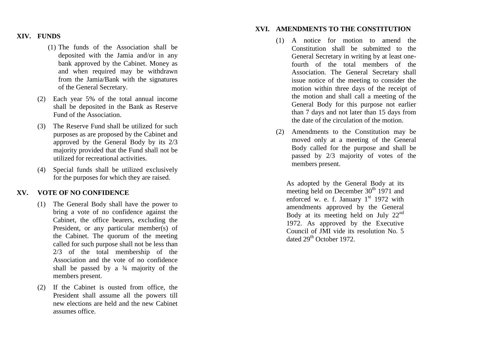#### **XIV. FUNDS**

- (1) The funds of the Association shall be deposited with the Jamia and/or in any bank approved by the Cabinet. Money as and when required may be withdrawn from the Jamia/Bank with the signatures of the General Secretary.
- (2) Each year 5% of the total annual income shall be deposited in the Bank as Reserve Fund of the Association.
- (3) The Reserve Fund shall be utilized for such purposes as are proposed by the Cabinet and approved by the General Body by its 2/3 majority provided that the Fund shall not be utilized for recreational activities.
- (4) Special funds shall be utilized exclusively for the purposes for which they are raised.

# **XV. VOTE OF NO CONFIDENCE**

- (1) The General Body shall have the power to bring a vote of no confidence against the Cabinet, the office bearers, excluding the President, or any particular member(s) of the Cabinet. The quorum of the meeting called for such purpose shall not be less than 2/3 of the total membership of the Association and the vote of no confidence shall be passed by a  $\frac{3}{4}$  majority of the members present.
- (2) If the Cabinet is ousted from office, the President shall assume all the powers till new elections are held and the new Cabinet assumes office.

#### **XVI. AMENDMENTS TO THE CONSTITUTION**

- (1) A notice for motion to amend the Constitution shall be submitted to the General Secretary in writing by at least one fourth of the total members of the Association. The General Secretary shall issue notice of the meeting to consider the motion within three days of the receipt of the motion and shall call a meeting of the General Body for this purpose not earlier than 7 days and not later than 15 days from the date of the circulation of the motion.
- (2) Amendments to the Constitution may be moved only at a meeting of the General Body called for the purpose and shall be passed by 2/3 majority of votes of the members present.

As adopted by the General Body at it s meeting held on December  $30<sup>th</sup>$  1971 and enforced w. e. f. January  $1<sup>st</sup>$  1972 with amendments approved by the General Body at its meeting held on July  $22<sup>nd</sup>$ 1972 . As approved by the Executive Council of JMI vide its resolution No. 5 dated 29<sup>th</sup> October 1972.